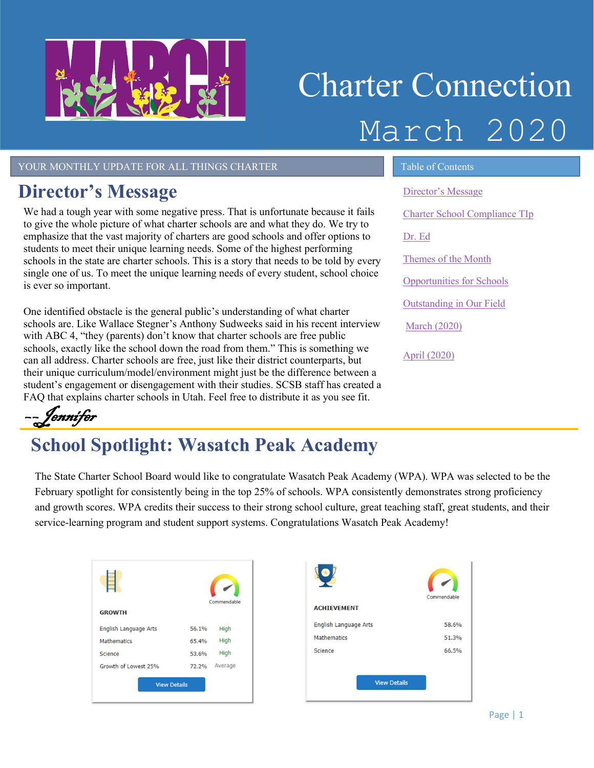

# Charter Connection March 2020

YOUR MONTHLY UPDATE FOR ALL THINGS CHARTER TABLE OF Contents

#### <span id="page-0-0"></span>**Director's Message**

We had a tough year with some negative press. That is unfortunate because it fails to give the whole picture of what charter schools are and what they do. We try to emphasize that the vast majority of charters are good schools and offer options to students to meet their unique learning needs. Some of the highest performing schools in the state are charter schools. This is a story that needs to be told by every single one of us. To meet the unique learning needs of every student, school choice is ever so important.

One identified obstacle is the general public's understanding of what charter schools are. Like Wallace Stegner's Anthony Sudweeks said in his recent interview with ABC 4, "they (parents) don't know that charter schools are free public schools, exactly like the school down the road from them." This is something we can all address. Charter schools are free, just like their district counterparts, but their unique curriculum/model/environment might just be the difference between a student's engagement or disengagement with their studies. SCSB staff has created a FAQ that explains charter schools in Utah. Feel free to distribute it as you see fit.

[Director's Message](#page-0-0) Charter School Compliance TIp [Dr. Ed](#page-1-0) Themes of the Month [Opportunities for Schools](#page-2-0)  [Outstanding in Our Field](#page-2-1) March (2020) April [\(2020\)](#page-3-0)

––Jennifer

## **School Spotlight: Wasatch Peak Academy**

The State Charter School Board would like to congratulate Wasatch Peak Academy (WPA). WPA was selected to be the February spotlight for consistently being in the top 25% of schools. WPA consistently demonstrates strong proficiency and growth scores. WPA credits their success to their strong school culture, great teaching staff, great students, and their service-learning program and student support systems. Congratulations Wasatch Peak Academy!

|                       |       | Commendable |
|-----------------------|-------|-------------|
| <b>GROWTH</b>         |       |             |
| English Language Arts | 56.1% | High        |
| <b>Mathematics</b>    | 65.4% | High        |
| Science               | 53.6% | High        |
| Growth of Lowest 25%  | 72.2% | Average     |
| <b>View Details</b>   |       |             |

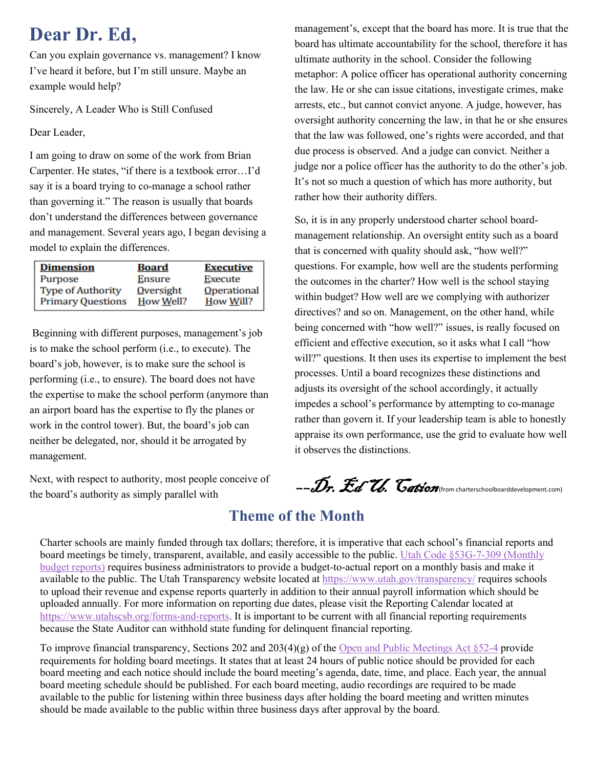#### <span id="page-1-0"></span>**Dear Dr. Ed,**

Can you explain governance vs. management? I know I've heard it before, but I'm still unsure. Maybe an example would help?

Sincerely, A Leader Who is Still Confused

Dear Leader,

I am going to draw on some of the work from Brian Carpenter. He states, "if there is a textbook error…I'd say it is a board trying to co-manage a school rather than governing it." The reason is usually that boards don't understand the differences between governance and management. Several years ago, I began devising a model to explain the differences.

| <b>Dimension</b>         | <b>Board</b>     | <b>Executive</b> |
|--------------------------|------------------|------------------|
| Purpose                  | Ensure           | <b>Execute</b>   |
| <b>Type of Authority</b> | <b>Qversight</b> | Operational      |
| <b>Primary Questions</b> | How Well?        | How Will?        |

Beginning with different purposes, management's job is to make the school perform (i.e., to execute). The board's job, however, is to make sure the school is performing (i.e., to ensure). The board does not have the expertise to make the school perform (anymore than an airport board has the expertise to fly the planes or work in the control tower). But, the board's job can neither be delegated, nor, should it be arrogated by management.

Next, with respect to authority, most people conceive of the board's authority as simply parallel with

management's, except that the board has more. It is true that the board has ultimate accountability for the school, therefore it has ultimate authority in the school. Consider the following metaphor: A police officer has operational authority concerning the law. He or she can issue citations, investigate crimes, make arrests, etc., but cannot convict anyone. A judge, however, has oversight authority concerning the law, in that he or she ensures that the law was followed, one's rights were accorded, and that due process is observed. And a judge can convict. Neither a judge nor a police officer has the authority to do the other's job. It's not so much a question of which has more authority, but rather how their authority differs.

So, it is in any properly understood charter school boardmanagement relationship. An oversight entity such as a board that is concerned with quality should ask, "how well?" questions. For example, how well are the students performing the outcomes in the charter? How well is the school staying within budget? How well are we complying with authorizer directives? and so on. Management, on the other hand, while being concerned with "how well?" issues, is really focused on efficient and effective execution, so it asks what I call "how will?" questions. It then uses its expertise to implement the best processes. Until a board recognizes these distinctions and adjusts its oversight of the school accordingly, it actually impedes a school's performance by attempting to co-manage rather than govern it. If your leadership team is able to honestly appraise its own performance, use the grid to evaluate how well it observes the distinctions.

--Dr. Ed U. Cation (from charterschoolboarddevelopment.com)

#### **Theme of the Month**

Charter schools are mainly funded through tax dollars; therefore, it is imperative that each school's financial reports and board meetings be timely, transparent, available, and easily accessible to the public[. Utah Code §53G-7-309 \(Monthly](https://le.utah.gov/xcode/Title53G/Chapter7/53G-7-S309.html?v=C53G-7-S309_2019051420190514)  [budget reports\)](https://le.utah.gov/xcode/Title53G/Chapter7/53G-7-S309.html?v=C53G-7-S309_2019051420190514) requires business administrators to provide a budget-to-actual report on a monthly basis and make it available to the public. The Utah Transparency website located at<https://www.utah.gov/transparency/> requires schools to upload their revenue and expense reports quarterly in addition to their annual payroll information which should be uploaded annually. For more information on reporting due dates, please visit the Reporting Calendar located at [https://www.utahscsb.org/forms-and-reports.](https://www.utahscsb.org/forms-and-reports) It is important to be current with all financial reporting requirements because the State Auditor can withhold state funding for delinquent financial reporting.

To improve financial transparency, Sections 202 and 203(4)(g) of the [Open and Public Meetings Act §52-4](https://le.utah.gov/xcode/Title52/Chapter4/52-4-P2.html?v=C52-4-P2_1800010118000101) provide requirements for holding board meetings. It states that at least 24 hours of public notice should be provided for each board meeting and each notice should include the board meeting's agenda, date, time, and place. Each year, the annual board meeting schedule should be published. For each board meeting, audio recordings are required to be made available to the public for listening within three business days after holding the board meeting and written minutes should be made available to the public within three business days after approval by the board.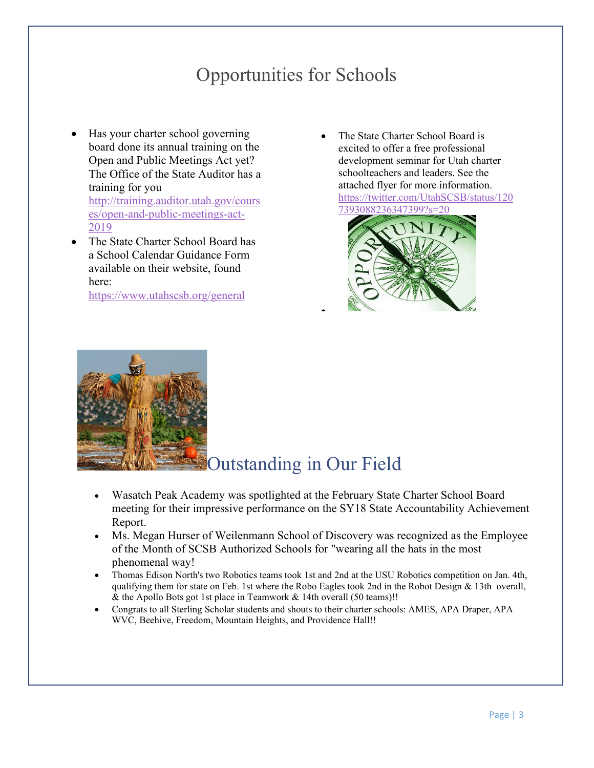#### Opportunities for Schools

- <span id="page-2-0"></span>• Has your charter school governing board done its annual training on the Open and Public Meetings Act yet? The Office of the State Auditor has a training for you [http://training.auditor.utah.gov/cours](http://training.auditor.utah.gov/courses/open-and-public-meetings-act-2019) [es/open-and-public-meetings-act-](http://training.auditor.utah.gov/courses/open-and-public-meetings-act-2019)[2019](http://training.auditor.utah.gov/courses/open-and-public-meetings-act-2019)
- The State Charter School Board has a School Calendar Guidance Form available on their website, found here:

<https://www.utahscsb.org/general>

• The State Charter School Board is excited to offer a free professional development seminar for Utah charter schoolteachers and leaders. See the attached flyer for more information. [https://twitter.com/UtahSCSB/status/120](https://twitter.com/UtahSCSB/status/1207393088236347399?s=20) [7393088236347399?s=20](https://twitter.com/UtahSCSB/status/1207393088236347399?s=20) 





#### Outstanding in Our Field

• Wasatch Peak Academy was spotlighted at the February State Charter School Board meeting for their impressive performance on the SY18 State Accountability Achievement Report.

<span id="page-2-1"></span>•

- Ms. Megan Hurser of Weilenmann School of Discovery was recognized as the Employee of the Month of SCSB Authorized Schools for "wearing all the hats in the most phenomenal way!
- Thomas Edison North's two Robotics teams took 1st and 2nd at the USU Robotics competition on Jan. 4th, qualifying them for state on Feb. 1st where the Robo Eagles took 2nd in the Robot Design & 13th overall, & the Apollo Bots got 1st place in Teamwork & 14th overall (50 teams)!!
- Congrats to all Sterling Scholar students and shouts to their charter schools: AMES, APA Draper, APA WVC, Beehive, Freedom, Mountain Heights, and Providence Hall!!